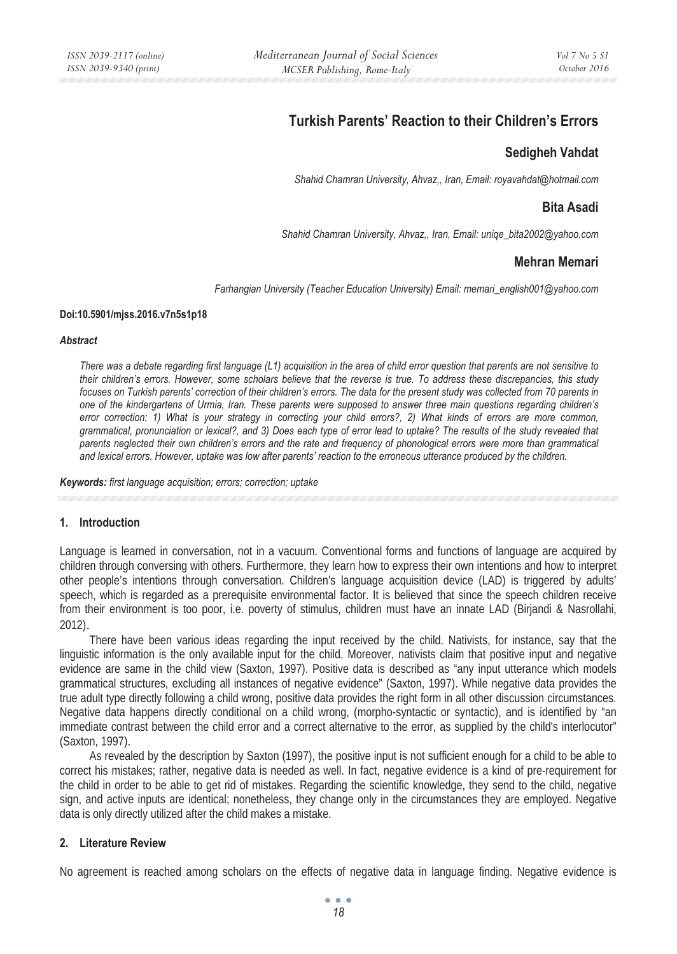# **Turkish Parents' Reaction to their Children's Errors**

# **Sedigheh Vahdat**

*Shahid Chamran University, Ahvaz,, Iran, Email: royavahdat@hotmail.com* 

### **Bita Asadi**

*Shahid Chamran University, Ahvaz,, Iran, Email: uniqe\_bita2002@yahoo.com* 

# **Mehran Memari**

*Farhangian University (Teacher Education University) Email: memari\_english001@yahoo.com* 

#### **Doi:10.5901/mjss.2016.v7n5s1p18**

#### *Abstract*

*There was a debate regarding first language (L1) acquisition in the area of child error question that parents are not sensitive to their children's errors. However, some scholars believe that the reverse is true. To address these discrepancies, this study focuses on Turkish parents' correction of their children's errors. The data for the present study was collected from 70 parents in one of the kindergartens of Urmia, Iran. These parents were supposed to answer three main questions regarding children's error correction: 1) What is your strategy in correcting your child errors?, 2) What kinds of errors are more common, grammatical, pronunciation or lexical?, and 3) Does each type of error lead to uptake? The results of the study revealed that parents neglected their own children's errors and the rate and frequency of phonological errors were more than grammatical and lexical errors. However, uptake was low after parents' reaction to the erroneous utterance produced by the children.* 

*Keywords: first language acquisition; errors; correction; uptake*

#### **1. Introduction**

Language is learned in conversation, not in a vacuum. Conventional forms and functions of language are acquired by children through conversing with others. Furthermore, they learn how to express their own intentions and how to interpret other people's intentions through conversation. Children's language acquisition device (LAD) is triggered by adults' speech, which is regarded as a prerequisite environmental factor. It is believed that since the speech children receive from their environment is too poor, i.e. poverty of stimulus, children must have an innate LAD (Birjandi & Nasrollahi, 2012).

There have been various ideas regarding the input received by the child. Nativists, for instance, say that the linguistic information is the only available input for the child. Moreover, nativists claim that positive input and negative evidence are same in the child view (Saxton, 1997). Positive data is described as "any input utterance which models grammatical structures, excluding all instances of negative evidence" (Saxton, 1997). While negative data provides the true adult type directly following a child wrong, positive data provides the right form in all other discussion circumstances. Negative data happens directly conditional on a child wrong, (morpho-syntactic or syntactic), and is identified by "an immediate contrast between the child error and a correct alternative to the error, as supplied by the child's interlocutor" (Saxton, 1997).

As revealed by the description by Saxton (1997), the positive input is not sufficient enough for a child to be able to correct his mistakes; rather, negative data is needed as well. In fact, negative evidence is a kind of pre-requirement for the child in order to be able to get rid of mistakes. Regarding the scientific knowledge, they send to the child, negative sign, and active inputs are identical; nonetheless, they change only in the circumstances they are employed. Negative data is only directly utilized after the child makes a mistake.

### **2. Literature Review**

No agreement is reached among scholars on the effects of negative data in language finding. Negative evidence is

 $\bullet$   $\bullet$   $\bullet$ *18*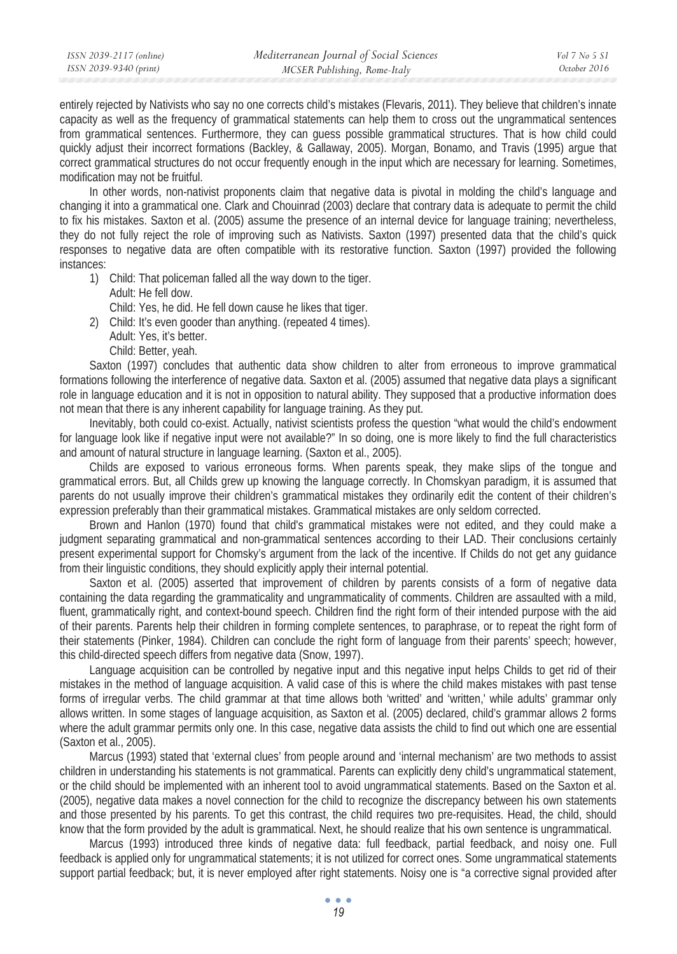entirely rejected by Nativists who say no one corrects child's mistakes (Flevaris, 2011). They believe that children's innate capacity as well as the frequency of grammatical statements can help them to cross out the ungrammatical sentences from grammatical sentences. Furthermore, they can guess possible grammatical structures. That is how child could quickly adjust their incorrect formations (Backley, & Gallaway, 2005). Morgan, Bonamo, and Travis (1995) argue that correct grammatical structures do not occur frequently enough in the input which are necessary for learning. Sometimes, modification may not be fruitful.

In other words, non-nativist proponents claim that negative data is pivotal in molding the child's language and changing it into a grammatical one. Clark and Chouinrad (2003) declare that contrary data is adequate to permit the child to fix his mistakes. Saxton et al. (2005) assume the presence of an internal device for language training; nevertheless, they do not fully reject the role of improving such as Nativists. Saxton (1997) presented data that the child's quick responses to negative data are often compatible with its restorative function. Saxton (1997) provided the following instances:

- 1) Child: That policeman falled all the way down to the tiger. Adult: He fell dow. Child: Yes, he did. He fell down cause he likes that tiger.
- 2) Child: It's even gooder than anything. (repeated 4 times). Adult: Yes, it's better. Child: Better, yeah.

Saxton (1997) concludes that authentic data show children to alter from erroneous to improve grammatical formations following the interference of negative data. Saxton et al. (2005) assumed that negative data plays a significant role in language education and it is not in opposition to natural ability. They supposed that a productive information does not mean that there is any inherent capability for language training. As they put.

Inevitably, both could co-exist. Actually, nativist scientists profess the question "what would the child's endowment for language look like if negative input were not available?" In so doing, one is more likely to find the full characteristics and amount of natural structure in language learning. (Saxton et al., 2005).

Childs are exposed to various erroneous forms. When parents speak, they make slips of the tongue and grammatical errors. But, all Childs grew up knowing the language correctly. In Chomskyan paradigm, it is assumed that parents do not usually improve their children's grammatical mistakes they ordinarily edit the content of their children's expression preferably than their grammatical mistakes. Grammatical mistakes are only seldom corrected.

Brown and Hanlon (1970) found that child's grammatical mistakes were not edited, and they could make a judgment separating grammatical and non-grammatical sentences according to their LAD. Their conclusions certainly present experimental support for Chomsky's argument from the lack of the incentive. If Childs do not get any guidance from their linguistic conditions, they should explicitly apply their internal potential.

Saxton et al. (2005) asserted that improvement of children by parents consists of a form of negative data containing the data regarding the grammaticality and ungrammaticality of comments. Children are assaulted with a mild, fluent, grammatically right, and context-bound speech. Children find the right form of their intended purpose with the aid of their parents. Parents help their children in forming complete sentences, to paraphrase, or to repeat the right form of their statements (Pinker, 1984). Children can conclude the right form of language from their parents' speech; however, this child-directed speech differs from negative data (Snow, 1997).

Language acquisition can be controlled by negative input and this negative input helps Childs to get rid of their mistakes in the method of language acquisition. A valid case of this is where the child makes mistakes with past tense forms of irregular verbs. The child grammar at that time allows both 'writted' and 'written,' while adults' grammar only allows written. In some stages of language acquisition, as Saxton et al. (2005) declared, child's grammar allows 2 forms where the adult grammar permits only one. In this case, negative data assists the child to find out which one are essential (Saxton et al., 2005).

Marcus (1993) stated that 'external clues' from people around and 'internal mechanism' are two methods to assist children in understanding his statements is not grammatical. Parents can explicitly deny child's ungrammatical statement, or the child should be implemented with an inherent tool to avoid ungrammatical statements. Based on the Saxton et al. (2005), negative data makes a novel connection for the child to recognize the discrepancy between his own statements and those presented by his parents. To get this contrast, the child requires two pre-requisites. Head, the child, should know that the form provided by the adult is grammatical. Next, he should realize that his own sentence is ungrammatical.

Marcus (1993) introduced three kinds of negative data: full feedback, partial feedback, and noisy one. Full feedback is applied only for ungrammatical statements; it is not utilized for correct ones. Some ungrammatical statements support partial feedback; but, it is never employed after right statements. Noisy one is "a corrective signal provided after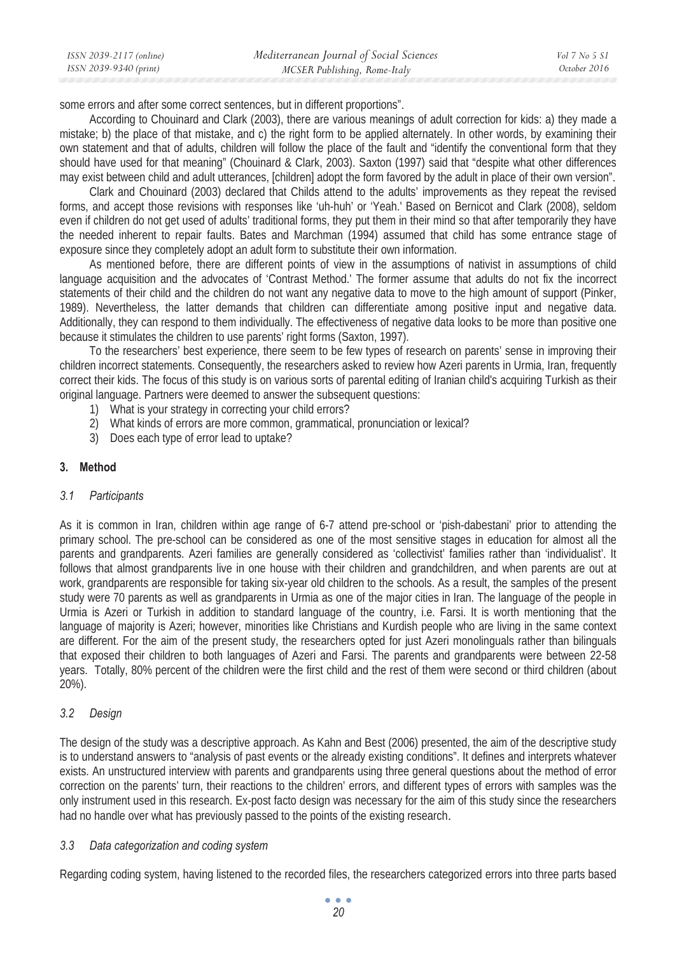| ISSN 2039-2117 (online) | Mediterranean Journal of Social Sciences | Vol 7 No 5 S1 |
|-------------------------|------------------------------------------|---------------|
| ISSN 2039-9340 (print)  | MCSER Publishing, Rome-Italy             | October 2016  |
|                         |                                          |               |

some errors and after some correct sentences, but in different proportions".

According to Chouinard and Clark (2003), there are various meanings of adult correction for kids: a) they made a mistake; b) the place of that mistake, and c) the right form to be applied alternately. In other words, by examining their own statement and that of adults, children will follow the place of the fault and "identify the conventional form that they should have used for that meaning" (Chouinard & Clark, 2003). Saxton (1997) said that "despite what other differences may exist between child and adult utterances, [children] adopt the form favored by the adult in place of their own version".

Clark and Chouinard (2003) declared that Childs attend to the adults' improvements as they repeat the revised forms, and accept those revisions with responses like 'uh-huh' or 'Yeah.' Based on Bernicot and Clark (2008), seldom even if children do not get used of adults' traditional forms, they put them in their mind so that after temporarily they have the needed inherent to repair faults. Bates and Marchman (1994) assumed that child has some entrance stage of exposure since they completely adopt an adult form to substitute their own information.

As mentioned before, there are different points of view in the assumptions of nativist in assumptions of child language acquisition and the advocates of 'Contrast Method.' The former assume that adults do not fix the incorrect statements of their child and the children do not want any negative data to move to the high amount of support (Pinker, 1989). Nevertheless, the latter demands that children can differentiate among positive input and negative data. Additionally, they can respond to them individually. The effectiveness of negative data looks to be more than positive one because it stimulates the children to use parents' right forms (Saxton, 1997).

To the researchers' best experience, there seem to be few types of research on parents' sense in improving their children incorrect statements. Consequently, the researchers asked to review how Azeri parents in Urmia, Iran, frequently correct their kids. The focus of this study is on various sorts of parental editing of Iranian child's acquiring Turkish as their original language. Partners were deemed to answer the subsequent questions:

- 1) What is your strategy in correcting your child errors?
- 2) What kinds of errors are more common, grammatical, pronunciation or lexical?
- 3) Does each type of error lead to uptake?

### **3. Method**

#### *3.1 Participants*

As it is common in Iran, children within age range of 6-7 attend pre-school or 'pish-dabestani' prior to attending the primary school. The pre-school can be considered as one of the most sensitive stages in education for almost all the parents and grandparents. Azeri families are generally considered as 'collectivist' families rather than 'individualist'. It follows that almost grandparents live in one house with their children and grandchildren, and when parents are out at work, grandparents are responsible for taking six-year old children to the schools. As a result, the samples of the present study were 70 parents as well as grandparents in Urmia as one of the major cities in Iran. The language of the people in Urmia is Azeri or Turkish in addition to standard language of the country, i.e. Farsi. It is worth mentioning that the language of majority is Azeri; however, minorities like Christians and Kurdish people who are living in the same context are different. For the aim of the present study, the researchers opted for just Azeri monolinguals rather than bilinguals that exposed their children to both languages of Azeri and Farsi. The parents and grandparents were between 22-58 years. Totally, 80% percent of the children were the first child and the rest of them were second or third children (about 20%).

## *3.2 Design*

The design of the study was a descriptive approach. As Kahn and Best (2006) presented, the aim of the descriptive study is to understand answers to "analysis of past events or the already existing conditions". It defines and interprets whatever exists. An unstructured interview with parents and grandparents using three general questions about the method of error correction on the parents' turn, their reactions to the children' errors, and different types of errors with samples was the only instrument used in this research. Ex-post facto design was necessary for the aim of this study since the researchers had no handle over what has previously passed to the points of the existing research.

### *3.3 Data categorization and coding system*

Regarding coding system, having listened to the recorded files, the researchers categorized errors into three parts based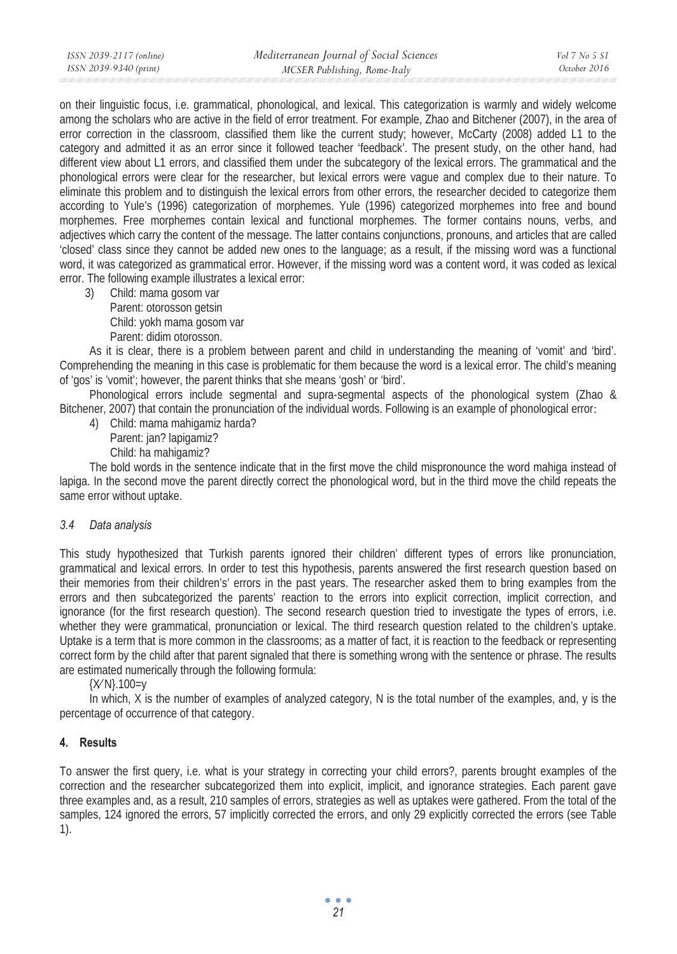on their linguistic focus, i.e. grammatical, phonological, and lexical. This categorization is warmly and widely welcome among the scholars who are active in the field of error treatment. For example, Zhao and Bitchener (2007), in the area of error correction in the classroom, classified them like the current study; however, McCarty (2008) added L1 to the category and admitted it as an error since it followed teacher 'feedback'. The present study, on the other hand, had different view about L1 errors, and classified them under the subcategory of the lexical errors. The grammatical and the phonological errors were clear for the researcher, but lexical errors were vague and complex due to their nature. To eliminate this problem and to distinguish the lexical errors from other errors, the researcher decided to categorize them according to Yule's (1996) categorization of morphemes. Yule (1996) categorized morphemes into free and bound morphemes. Free morphemes contain lexical and functional morphemes. The former contains nouns, verbs, and adjectives which carry the content of the message. The latter contains conjunctions, pronouns, and articles that are called 'closed' class since they cannot be added new ones to the language; as a result, if the missing word was a functional word, it was categorized as grammatical error. However, if the missing word was a content word, it was coded as lexical error. The following example illustrates a lexical error:

3) Child: mama gosom var Parent: otorosson getsin Child: yokh mama gosom var Parent: didim otorosson.

As it is clear, there is a problem between parent and child in understanding the meaning of 'vomit' and 'bird'. Comprehending the meaning in this case is problematic for them because the word is a lexical error. The child's meaning of 'gos' is 'vomit'; however, the parent thinks that she means 'gosh' or 'bird'.

Phonological errors include segmental and supra-segmental aspects of the phonological system (Zhao & Bitchener, 2007) that contain the pronunciation of the individual words. Following is an example of phonological error:

- 4) Child: mama mahigamiz harda? Parent: jan? lapigamiz?
	- Child: ha mahigamiz?

The bold words in the sentence indicate that in the first move the child mispronounce the word mahiga instead of lapiga. In the second move the parent directly correct the phonological word, but in the third move the child repeats the same error without uptake.

# *3.4 Data analysis*

This study hypothesized that Turkish parents ignored their children' different types of errors like pronunciation, grammatical and lexical errors. In order to test this hypothesis, parents answered the first research question based on their memories from their children's' errors in the past years. The researcher asked them to bring examples from the errors and then subcategorized the parents' reaction to the errors into explicit correction, implicit correction, and ignorance (for the first research question). The second research question tried to investigate the types of errors, i.e. whether they were grammatical, pronunciation or lexical. The third research question related to the children's uptake. Uptake is a term that is more common in the classrooms; as a matter of fact, it is reaction to the feedback or representing correct form by the child after that parent signaled that there is something wrong with the sentence or phrase. The results are estimated numerically through the following formula:

 ${X/N}$ .100=y

In which, X is the number of examples of analyzed category, N is the total number of the examples, and, y is the percentage of occurrence of that category.

## **4. Results**

To answer the first query, i.e. what is your strategy in correcting your child errors?, parents brought examples of the correction and the researcher subcategorized them into explicit, implicit, and ignorance strategies. Each parent gave three examples and, as a result, 210 samples of errors, strategies as well as uptakes were gathered. From the total of the samples, 124 ignored the errors, 57 implicitly corrected the errors, and only 29 explicitly corrected the errors (see Table 1).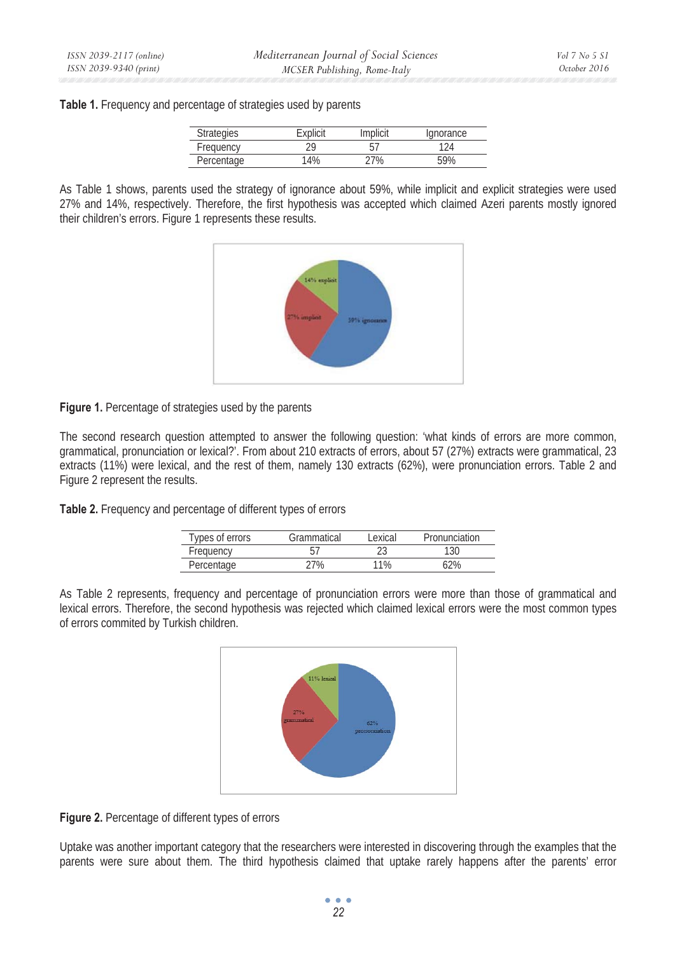**Table 1.** Frequency and percentage of strategies used by parents

| <b>Strategies</b> | xplicit | Implicit | lanorance |
|-------------------|---------|----------|-----------|
| Frequency         |         |          | 124       |
| Percentage        | 4%      | $7\%$    | .9%       |

As Table 1 shows, parents used the strategy of ignorance about 59%, while implicit and explicit strategies were used 27% and 14%, respectively. Therefore, the first hypothesis was accepted which claimed Azeri parents mostly ignored their children's errors. Figure 1 represents these results.



**Figure 1.** Percentage of strategies used by the parents

The second research question attempted to answer the following question: 'what kinds of errors are more common, grammatical, pronunciation or lexical?'. From about 210 extracts of errors, about 57 (27%) extracts were grammatical, 23 extracts (11%) were lexical, and the rest of them, namely 130 extracts (62%), were pronunciation errors. Table 2 and Figure 2 represent the results.

**Table 2.** Frequency and percentage of different types of errors

| Types of errors | Grammatical | exical | Pronunciation |
|-----------------|-------------|--------|---------------|
| Frequency       |             |        | 30            |
| Percentage      | 7%          | 11%    | .2%           |

As Table 2 represents, frequency and percentage of pronunciation errors were more than those of grammatical and lexical errors. Therefore, the second hypothesis was rejected which claimed lexical errors were the most common types of errors commited by Turkish children.



**Figure 2.** Percentage of different types of errors

Uptake was another important category that the researchers were interested in discovering through the examples that the parents were sure about them. The third hypothesis claimed that uptake rarely happens after the parents' error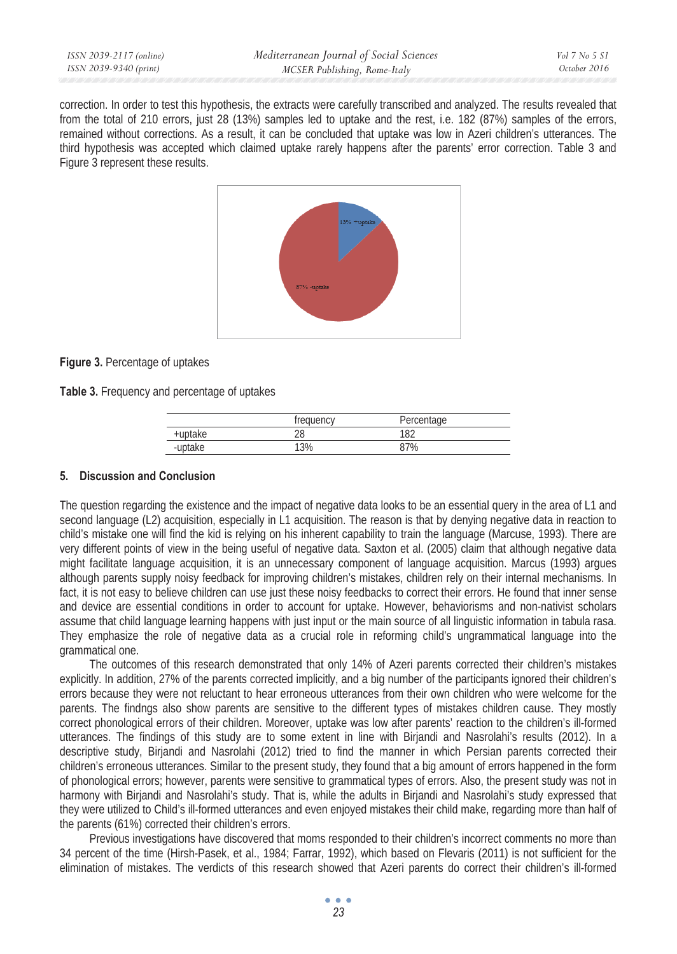| ISSN 2039-2117 (online) | Mediterranean Journal of Social Sciences | $Vol 7$ No 5 S1 |
|-------------------------|------------------------------------------|-----------------|
| ISSN 2039-9340 (print)  | MCSER Publishing, Rome-Italy             | October 2016    |

correction. In order to test this hypothesis, the extracts were carefully transcribed and analyzed. The results revealed that from the total of 210 errors, just 28 (13%) samples led to uptake and the rest, i.e. 182 (87%) samples of the errors, remained without corrections. As a result, it can be concluded that uptake was low in Azeri children's utterances. The third hypothesis was accepted which claimed uptake rarely happens after the parents' error correction. Table 3 and Figure 3 represent these results.



**Figure 3.** Percentage of uptakes

**Table 3.** Frequency and percentage of uptakes

|         | frequency | Percentage |  |
|---------|-----------|------------|--|
| +uptake |           | 182        |  |
| uptake  | 13%       | 87%        |  |

#### **5. Discussion and Conclusion**

The question regarding the existence and the impact of negative data looks to be an essential query in the area of L1 and second language (L2) acquisition, especially in L1 acquisition. The reason is that by denying negative data in reaction to child's mistake one will find the kid is relying on his inherent capability to train the language (Marcuse, 1993). There are very different points of view in the being useful of negative data. Saxton et al. (2005) claim that although negative data might facilitate language acquisition, it is an unnecessary component of language acquisition. Marcus (1993) argues although parents supply noisy feedback for improving children's mistakes, children rely on their internal mechanisms. In fact, it is not easy to believe children can use just these noisy feedbacks to correct their errors. He found that inner sense and device are essential conditions in order to account for uptake. However, behaviorisms and non-nativist scholars assume that child language learning happens with just input or the main source of all linguistic information in tabula rasa. They emphasize the role of negative data as a crucial role in reforming child's ungrammatical language into the grammatical one.

The outcomes of this research demonstrated that only 14% of Azeri parents corrected their children's mistakes explicitly. In addition, 27% of the parents corrected implicitly, and a big number of the participants ignored their children's errors because they were not reluctant to hear erroneous utterances from their own children who were welcome for the parents. The findngs also show parents are sensitive to the different types of mistakes children cause. They mostly correct phonological errors of their children. Moreover, uptake was low after parents' reaction to the children's ill-formed utterances. The findings of this study are to some extent in line with Birjandi and Nasrolahi's results (2012). In a descriptive study, Birjandi and Nasrolahi (2012) tried to find the manner in which Persian parents corrected their children's erroneous utterances. Similar to the present study, they found that a big amount of errors happened in the form of phonological errors; however, parents were sensitive to grammatical types of errors. Also, the present study was not in harmony with Birjandi and Nasrolahi's study. That is, while the adults in Birjandi and Nasrolahi's study expressed that they were utilized to Child's ill-formed utterances and even enjoyed mistakes their child make, regarding more than half of the parents (61%) corrected their children's errors.

Previous investigations have discovered that moms responded to their children's incorrect comments no more than 34 percent of the time (Hirsh-Pasek, et al., 1984; Farrar, 1992), which based on Flevaris (2011) is not sufficient for the elimination of mistakes. The verdicts of this research showed that Azeri parents do correct their children's ill-formed